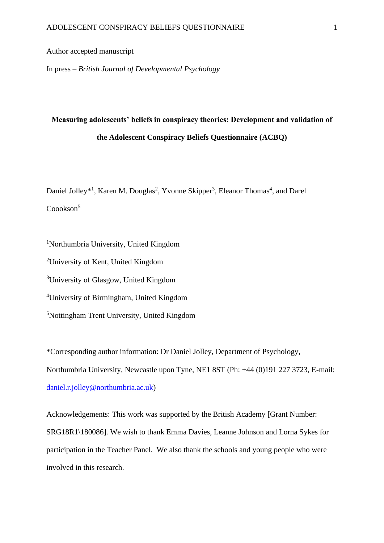# Author accepted manuscript

In press – *British Journal of Developmental Psychology*

# **Measuring adolescents' beliefs in conspiracy theories: Development and validation of the Adolescent Conspiracy Beliefs Questionnaire (ACBQ)**

Daniel Jolley<sup>\*1</sup>, Karen M. Douglas<sup>2</sup>, Yvonne Skipper<sup>3</sup>, Eleanor Thomas<sup>4</sup>, and Darel Coookson<sup>5</sup>

Northumbria University, United Kingdom University of Kent, United Kingdom University of Glasgow, United Kingdom University of Birmingham, United Kingdom Nottingham Trent University, United Kingdom

\*Corresponding author information: Dr Daniel Jolley, Department of Psychology, Northumbria University, Newcastle upon Tyne, NE1 8ST (Ph: +44 (0)191 227 3723, E-mail: [daniel.r.jolley@northumbria.ac.uk\)](mailto:daniel.r.jolley@northumbria.ac.uk)

Acknowledgements: This work was supported by the British Academy [Grant Number: SRG18R1\180086]. We wish to thank Emma Davies, Leanne Johnson and Lorna Sykes for participation in the Teacher Panel. We also thank the schools and young people who were involved in this research.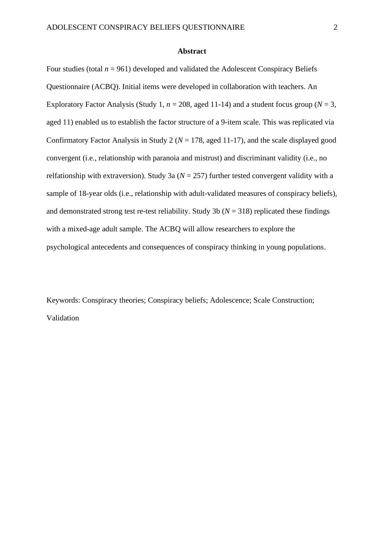#### **Abstract**

Four studies (total  $n = 961$ ) developed and validated the Adolescent Conspiracy Beliefs Questionnaire (ACBQ). Initial items were developed in collaboration with teachers. An Exploratory Factor Analysis (Study 1,  $n = 208$ , aged 11-14) and a student focus group ( $N = 3$ , aged 11) enabled us to establish the factor structure of a 9-item scale. This was replicated via Confirmatory Factor Analysis in Study 2 ( $N = 178$ , aged 11-17), and the scale displayed good convergent (i.e., relationship with paranoia and mistrust) and discriminant validity (i.e., no relfationship with extraversion). Study 3a ( $N = 257$ ) further tested convergent validity with a sample of 18-year olds (i.e., relationship with adult-validated measures of conspiracy beliefs), and demonstrated strong test re-test reliability. Study 3b ( $N = 318$ ) replicated these findings with a mixed-age adult sample. The ACBQ will allow researchers to explore the psychological antecedents and consequences of conspiracy thinking in young populations.

Keywords: Conspiracy theories; Conspiracy beliefs; Adolescence; Scale Construction; Validation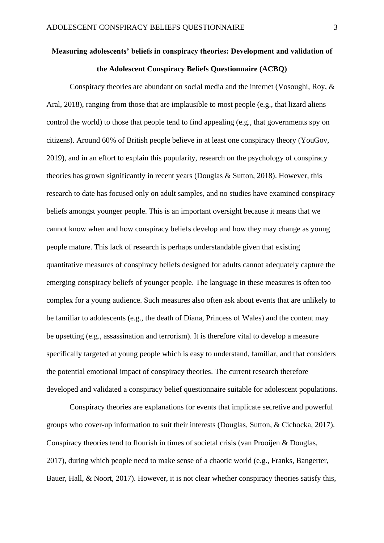# **Measuring adolescents' beliefs in conspiracy theories: Development and validation of the Adolescent Conspiracy Beliefs Questionnaire (ACBQ)**

Conspiracy theories are abundant on social media and the internet (Vosoughi, Roy, & Aral, [2018\)](https://onlinelibrary.wiley.com/doi/full/10.1111/pops.12568#pops12568-bib-0269), ranging from those that are implausible to most people (e.g., that lizard aliens control the world) to those that people tend to find appealing (e.g., that governments spy on citizens). Around 60% of British people believe in at least one conspiracy theory (YouGov, 2019), and in an effort to explain this popularity, research on the psychology of conspiracy theories has grown significantly in recent years (Douglas & Sutton, 2018). However, this research to date has focused only on adult samples, and no studies have examined conspiracy beliefs amongst younger people. This is an important oversight because it means that we cannot know when and how conspiracy beliefs develop and how they may change as young people mature. This lack of research is perhaps understandable given that existing quantitative measures of conspiracy beliefs designed for adults cannot adequately capture the emerging conspiracy beliefs of younger people. The language in these measures is often too complex for a young audience. Such measures also often ask about events that are unlikely to be familiar to adolescents (e.g., the death of Diana, Princess of Wales) and the content may be upsetting (e.g., assassination and terrorism). It is therefore vital to develop a measure specifically targeted at young people which is easy to understand, familiar, and that considers the potential emotional impact of conspiracy theories. The current research therefore developed and validated a conspiracy belief questionnaire suitable for adolescent populations.

Conspiracy theories are explanations for events that implicate secretive and powerful groups who cover-up information to suit their interests (Douglas, Sutton, & Cichocka, 2017). Conspiracy theories tend to flourish in times of societal crisis (van Prooijen & Douglas, 2017), during which people need to make sense of a chaotic world (e.g., Franks, Bangerter, Bauer, Hall, & Noort, [2017\)](https://onlinelibrary.wiley.com/doi/full/10.1111/pops.12568#pops12568-bib-0095). However, it is not clear whether conspiracy theories satisfy this,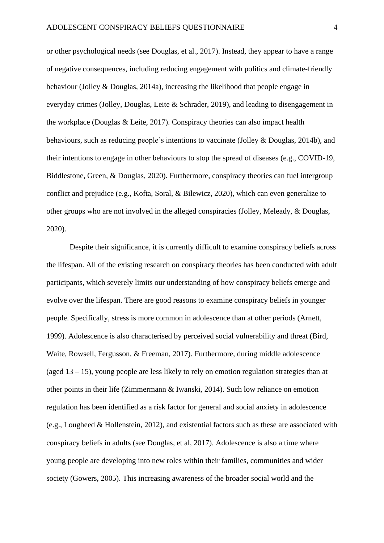or other psychological needs (see Douglas, et al., 2017). Instead, they appear to have a range of negative consequences, including reducing engagement with politics and climate-friendly behaviour (Jolley & Douglas, 2014a), increasing the likelihood that people engage in everyday crimes (Jolley, Douglas, Leite & Schrader, 2019), and leading to disengagement in the workplace (Douglas & Leite, 2017). Conspiracy theories can also impact health behaviours, such as reducing people's intentions to vaccinate (Jolley & Douglas, 2014b), and their intentions to engage in other behaviours to stop the spread of diseases (e.g., COVID-19, Biddlestone, Green, & Douglas, 2020). Furthermore, conspiracy theories can fuel intergroup conflict and prejudice (e.g., [Kofta,](https://www.ncbi.nlm.nih.gov/pubmed/?term=Kofta%20M%5BAuthor%5D&cauthor=true&cauthor_uid=31904251) [Soral,](https://www.ncbi.nlm.nih.gov/pubmed/?term=Soral%20W%5BAuthor%5D&cauthor=true&cauthor_uid=31904251) & [Bilewicz, 2020\)](https://www.ncbi.nlm.nih.gov/pubmed/?term=Bilewicz%20M%5BAuthor%5D&cauthor=true&cauthor_uid=31904251), which can even generalize to other groups who are not involved in the alleged conspiracies (Jolley, Meleady, & Douglas, 2020).

Despite their significance, it is currently difficult to examine conspiracy beliefs across the lifespan. All of the existing research on conspiracy theories has been conducted with adult participants, which severely limits our understanding of how conspiracy beliefs emerge and evolve over the lifespan. There are good reasons to examine conspiracy beliefs in younger people. Specifically, stress is more common in adolescence than at other periods (Arnett, 1999). Adolescence is also characterised by perceived social vulnerability and threat (Bird, Waite, Rowsell, Fergusson, & Freeman, 2017). Furthermore, during middle adolescence (aged  $13 - 15$ ), young people are less likely to rely on emotion regulation strategies than at other points in their life (Zimmermann & Iwanski, 2014). Such low reliance on emotion regulation has been identified as a risk factor for general and social anxiety in adolescence (e.g., Lougheed & Hollenstein, 2012), and existential factors such as these are associated with conspiracy beliefs in adults (see Douglas, et al, 2017). Adolescence is also a time where young people are developing into new roles within their families, communities and wider society (Gowers, 2005). This increasing awareness of the broader social world and the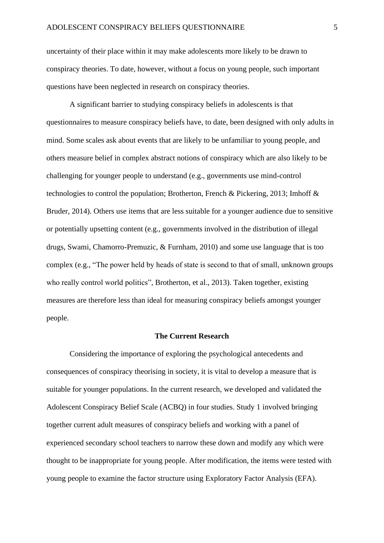uncertainty of their place within it may make adolescents more likely to be drawn to conspiracy theories. To date, however, without a focus on young people, such important questions have been neglected in research on conspiracy theories.

A significant barrier to studying conspiracy beliefs in adolescents is that questionnaires to measure conspiracy beliefs have, to date, been designed with only adults in mind. Some scales ask about events that are likely to be unfamiliar to young people, and others measure belief in complex abstract notions of conspiracy which are also likely to be challenging for younger people to understand (e.g., governments use mind-control technologies to control the population; Brotherton, French & Pickering, 2013; Imhoff & Bruder, 2014). Others use items that are less suitable for a younger audience due to sensitive or potentially upsetting content (e.g., governments involved in the distribution of illegal drugs, Swami, Chamorro-Premuzic, & Furnham, 2010) and some use language that is too complex (e.g., "The power held by heads of state is second to that of small, unknown groups who really control world politics", Brotherton, et al., 2013). Taken together, existing measures are therefore less than ideal for measuring conspiracy beliefs amongst younger people.

# **The Current Research**

Considering the importance of exploring the psychological antecedents and consequences of conspiracy theorising in society, it is vital to develop a measure that is suitable for younger populations. In the current research, we developed and validated the Adolescent Conspiracy Belief Scale (ACBQ) in four studies. Study 1 involved bringing together current adult measures of conspiracy beliefs and working with a panel of experienced secondary school teachers to narrow these down and modify any which were thought to be inappropriate for young people. After modification, the items were tested with young people to examine the factor structure using Exploratory Factor Analysis (EFA).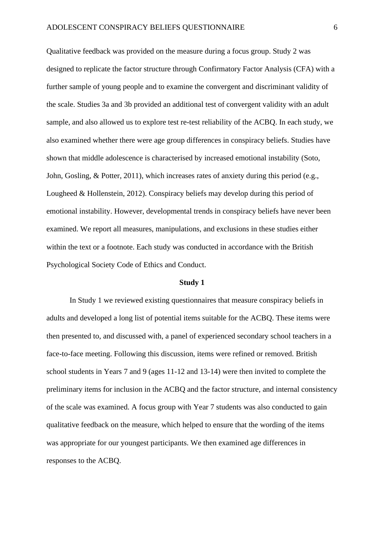Qualitative feedback was provided on the measure during a focus group. Study 2 was designed to replicate the factor structure through Confirmatory Factor Analysis (CFA) with a further sample of young people and to examine the convergent and discriminant validity of the scale. Studies 3a and 3b provided an additional test of convergent validity with an adult sample, and also allowed us to explore test re-test reliability of the ACBQ. In each study, we also examined whether there were age group differences in conspiracy beliefs. Studies have shown that middle adolescence is characterised by increased emotional instability (Soto, John, Gosling, & Potter, 2011), which increases rates of anxiety during this period (e.g., Lougheed & Hollenstein, 2012). Conspiracy beliefs may develop during this period of emotional instability. However, developmental trends in conspiracy beliefs have never been examined. We report all measures, manipulations, and exclusions in these studies either within the text or a footnote. Each study was conducted in accordance with the British Psychological Society Code of Ethics and Conduct.

#### **Study 1**

In Study 1 we reviewed existing questionnaires that measure conspiracy beliefs in adults and developed a long list of potential items suitable for the ACBQ. These items were then presented to, and discussed with, a panel of experienced secondary school teachers in a face-to-face meeting. Following this discussion, items were refined or removed. British school students in Years 7 and 9 (ages 11-12 and 13-14) were then invited to complete the preliminary items for inclusion in the ACBQ and the factor structure, and internal consistency of the scale was examined. A focus group with Year 7 students was also conducted to gain qualitative feedback on the measure, which helped to ensure that the wording of the items was appropriate for our youngest participants. We then examined age differences in responses to the ACBQ.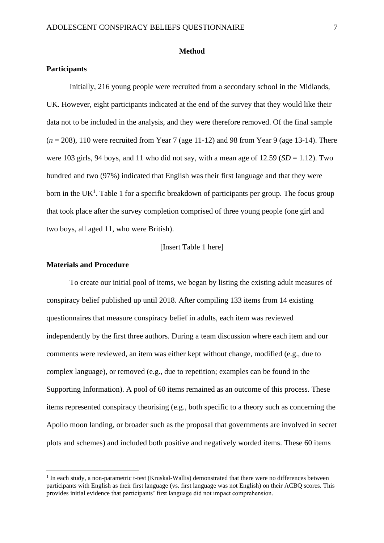#### **Method**

#### **Participants**

Initially, 216 young people were recruited from a secondary school in the Midlands, UK. However, eight participants indicated at the end of the survey that they would like their data not to be included in the analysis, and they were therefore removed. Of the final sample (*n* = 208), 110 were recruited from Year 7 (age 11-12) and 98 from Year 9 (age 13-14). There were 103 girls, 94 boys, and 11 who did not say, with a mean age of  $12.59$  (*SD* = 1.12). Two hundred and two (97%) indicated that English was their first language and that they were born in the UK<sup>1</sup>. Table 1 for a specific breakdown of participants per group. The focus group that took place after the survey completion comprised of three young people (one girl and two boys, all aged 11, who were British).

# [Insert Table 1 here]

# **Materials and Procedure**

To create our initial pool of items, we began by listing the existing adult measures of conspiracy belief published up until 2018. After compiling 133 items from 14 existing questionnaires that measure conspiracy belief in adults, each item was reviewed independently by the first three authors. During a team discussion where each item and our comments were reviewed, an item was either kept without change, modified (e.g., due to complex language), or removed (e.g., due to repetition; examples can be found in the Supporting Information). A pool of 60 items remained as an outcome of this process. These items represented conspiracy theorising (e.g., both specific to a theory such as concerning the Apollo moon landing, or broader such as the proposal that governments are involved in secret plots and schemes) and included both positive and negatively worded items. These 60 items

<sup>&</sup>lt;sup>1</sup> In each study, a non-parametric t-test (Kruskal-Wallis) demonstrated that there were no differences between participants with English as their first language (vs. first language was not English) on their ACBQ scores. This provides initial evidence that participants' first language did not impact comprehension.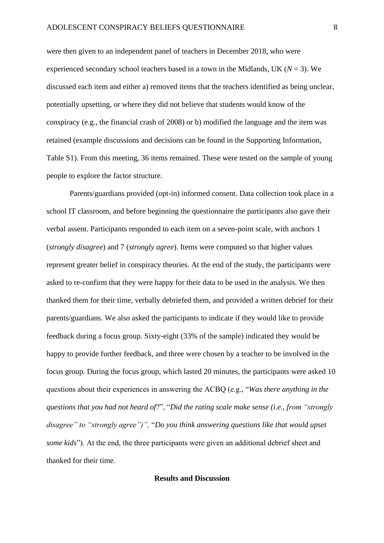were then given to an independent panel of teachers in December 2018, who were experienced secondary school teachers based in a town in the Midlands, UK ( $N = 3$ ). We discussed each item and either a) removed items that the teachers identified as being unclear, potentially upsetting, or where they did not believe that students would know of the conspiracy (e.g., the financial crash of 2008) or b) modified the language and the item was retained (example discussions and decisions can be found in the Supporting Information, Table S1). From this meeting, 36 items remained. These were tested on the sample of young people to explore the factor structure.

Parents/guardians provided (opt-in) informed consent. Data collection took place in a school IT classroom, and before beginning the questionnaire the participants also gave their verbal assent. Participants responded to each item on a seven-point scale, with anchors 1 (*strongly disagree*) and 7 (*strongly agree*). Items were computed so that higher values represent greater belief in conspiracy theories. At the end of the study, the participants were asked to re-confirm that they were happy for their data to be used in the analysis. We then thanked them for their time, verbally debriefed them, and provided a written debrief for their parents/guardians. We also asked the participants to indicate if they would like to provide feedback during a focus group. Sixty-eight (33% of the sample) indicated they would be happy to provide further feedback, and three were chosen by a teacher to be involved in the focus group. During the focus group, which lasted 20 minutes, the participants were asked 10 questions about their experiences in answering the ACBQ (e.g., "*Was there anything in the questions that you had not heard of*?", "*Did the rating scale make sense (i.e., from "strongly disagree" to "strongly agree")",* "*Do you think answering questions like that would upset some kids*"). At the end, the three participants were given an additional debrief sheet and thanked for their time.

# **Results and Discussion**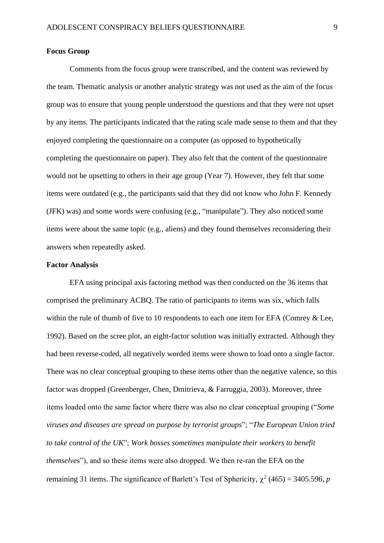# **Focus Group**

Comments from the focus group were transcribed, and the content was reviewed by the team. Thematic analysis or another analytic strategy was not used as the aim of the focus group was to ensure that young people understood the questions and that they were not upset by any items. The participants indicated that the rating scale made sense to them and that they enjoyed completing the questionnaire on a computer (as opposed to hypothetically completing the questionnaire on paper). They also felt that the content of the questionnaire would not be upsetting to others in their age group (Year 7). However, they felt that some items were outdated (e.g., the participants said that they did not know who John F. Kennedy (JFK) was) and some words were confusing (e.g., "manipulate"). They also noticed some items were about the same topic (e.g., aliens) and they found themselves reconsidering their answers when repeatedly asked.

# **Factor Analysis**

EFA using principal axis factoring method was then conducted on the 36 items that comprised the preliminary ACBQ. The ratio of participants to items was six, which falls within the rule of thumb of five to 10 respondents to each one item for EFA (Comrey & Lee, 1992). Based on the scree plot, an eight-factor solution was initially extracted. Although they had been reverse-coded, all negatively worded items were shown to load onto a single factor. There was no clear conceptual grouping to these items other than the negative valence, so this factor was dropped (Greenberger, Chen, Dmitrieva, & Farruggia, 2003). Moreover, three items loaded onto the same factor where there was also no clear conceptual grouping ("*Some viruses and diseases are spread on purpose by terrorist groups*"; "*The European Union tried to take control of the UK*"; *Work bosses sometimes manipulate their workers to benefit themselve*s"), and so these items were also dropped. We then re-ran the EFA on the remaining 31 items. The significance of Barlett's Test of Sphericity,  $\chi^2$  (465) = 3405.596, *p*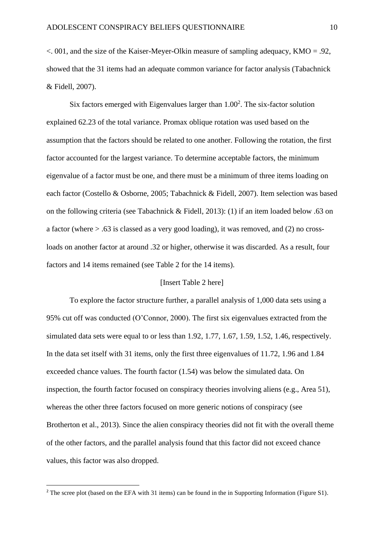$\alpha$ , 001, and the size of the Kaiser-Meyer-Olkin measure of sampling adequacy, KMO = .92, showed that the 31 items had an adequate common variance for factor analysis (Tabachnick & Fidell, 2007).

Six factors emerged with Eigenvalues larger than  $1.00<sup>2</sup>$ . The six-factor solution explained 62.23 of the total variance. Promax oblique rotation was used based on the assumption that the factors should be related to one another. Following the rotation, the first factor accounted for the largest variance. To determine acceptable factors, the minimum eigenvalue of a factor must be one, and there must be a minimum of three items loading on each factor (Costello & Osborne, 2005; Tabachnick & Fidell, 2007). Item selection was based on the following criteria (see Tabachnick & Fidell, 2013): (1) if an item loaded below .63 on a factor (where > .63 is classed as a very good loading), it was removed, and (2) no crossloads on another factor at around .32 or higher, otherwise it was discarded. As a result, four factors and 14 items remained (see Table 2 for the 14 items).

# [Insert Table 2 here]

To explore the factor structure further, a parallel analysis of 1,000 data sets using a 95% cut off was conducted (O'Connor, 2000). The first six eigenvalues extracted from the simulated data sets were equal to or less than 1.92, 1.77, 1.67, 1.59, 1.52, 1.46, respectively. In the data set itself with 31 items, only the first three eigenvalues of 11.72, 1.96 and 1.84 exceeded chance values. The fourth factor (1.54) was below the simulated data. On inspection, the fourth factor focused on conspiracy theories involving aliens (e.g., Area 51), whereas the other three factors focused on more generic notions of conspiracy (see Brotherton et al., 2013). Since the alien conspiracy theories did not fit with the overall theme of the other factors, and the parallel analysis found that this factor did not exceed chance values, this factor was also dropped.

<sup>&</sup>lt;sup>2</sup> The scree plot (based on the EFA with 31 items) can be found in the in Supporting Information (Figure S1).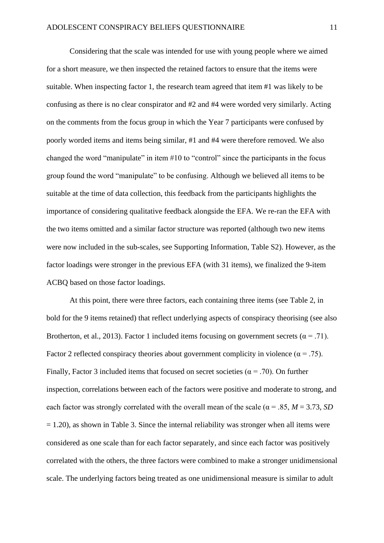Considering that the scale was intended for use with young people where we aimed for a short measure, we then inspected the retained factors to ensure that the items were suitable. When inspecting factor 1, the research team agreed that item #1 was likely to be confusing as there is no clear conspirator and #2 and #4 were worded very similarly. Acting on the comments from the focus group in which the Year 7 participants were confused by poorly worded items and items being similar, #1 and #4 were therefore removed. We also changed the word "manipulate" in item #10 to "control" since the participants in the focus group found the word "manipulate" to be confusing. Although we believed all items to be suitable at the time of data collection, this feedback from the participants highlights the importance of considering qualitative feedback alongside the EFA. We re-ran the EFA with the two items omitted and a similar factor structure was reported (although two new items were now included in the sub-scales, see Supporting Information, Table S2). However, as the factor loadings were stronger in the previous EFA (with 31 items), we finalized the 9-item ACBQ based on those factor loadings.

At this point, there were three factors, each containing three items (see Table 2, in bold for the 9 items retained) that reflect underlying aspects of conspiracy theorising (see also Brotherton, et al., 2013). Factor 1 included items focusing on government secrets ( $\alpha = .71$ ). Factor 2 reflected conspiracy theories about government complicity in violence ( $\alpha = .75$ ). Finally, Factor 3 included items that focused on secret societies ( $\alpha$  = .70). On further inspection, correlations between each of the factors were positive and moderate to strong, and each factor was strongly correlated with the overall mean of the scale ( $\alpha = .85$ ,  $M = 3.73$ , *SD*  $= 1.20$ ), as shown in Table 3. Since the internal reliability was stronger when all items were considered as one scale than for each factor separately, and since each factor was positively correlated with the others, the three factors were combined to make a stronger unidimensional scale. The underlying factors being treated as one unidimensional measure is similar to adult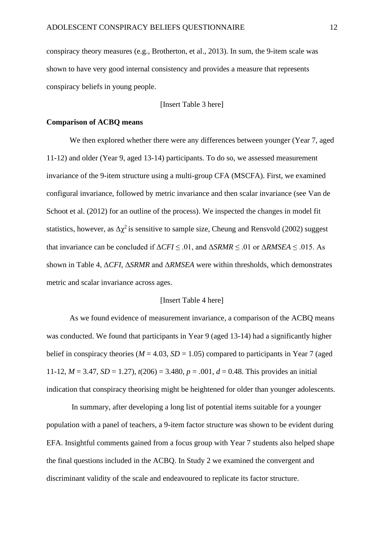conspiracy theory measures (e.g., Brotherton, et al., 2013). In sum, the 9-item scale was shown to have very good internal consistency and provides a measure that represents conspiracy beliefs in young people.

[Insert Table 3 here]

# **Comparison of ACBQ means**

We then explored whether there were any differences between younger (Year 7, aged 11-12) and older (Year 9, aged 13-14) participants. To do so, we assessed measurement invariance of the 9-item structure using a multi-group CFA (MSCFA). First, we examined configural invariance, followed by metric invariance and then scalar invariance (see Van de Schoot et al. (2012) for an outline of the process). We inspected the changes in model fit statistics, however, as  $\Delta \chi^2$  is sensitive to sample size, Cheung and Rensvold (2002) suggest that invariance can be concluded if  $\Delta CFI \leq .01$ , and  $\Delta SRMR \leq .01$  or  $\Delta RMSEA \leq .015$ . As shown in Table 4, Δ*CFI,* Δ*SRMR* and Δ*RMSEA* were within thresholds, which demonstrates metric and scalar invariance across ages.

### [Insert Table 4 here]

As we found evidence of measurement invariance, a comparison of the ACBQ means was conducted. We found that participants in Year 9 (aged 13-14) had a significantly higher belief in conspiracy theories ( $M = 4.03$ ,  $SD = 1.05$ ) compared to participants in Year 7 (aged 11-12,  $M = 3.47$ ,  $SD = 1.27$ ),  $t(206) = 3.480$ ,  $p = .001$ ,  $d = 0.48$ . This provides an initial indication that conspiracy theorising might be heightened for older than younger adolescents.

In summary, after developing a long list of potential items suitable for a younger population with a panel of teachers, a 9-item factor structure was shown to be evident during EFA. Insightful comments gained from a focus group with Year 7 students also helped shape the final questions included in the ACBQ. In Study 2 we examined the convergent and discriminant validity of the scale and endeavoured to replicate its factor structure.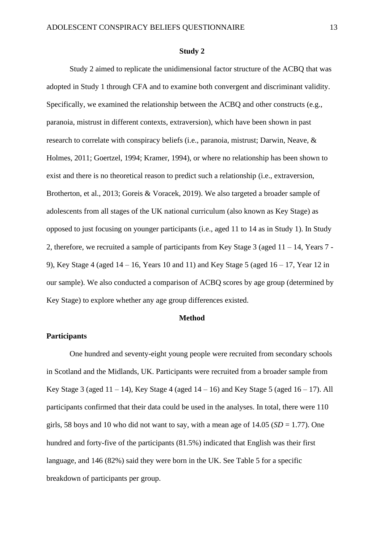#### **Study 2**

Study 2 aimed to replicate the unidimensional factor structure of the ACBQ that was adopted in Study 1 through CFA and to examine both convergent and discriminant validity. Specifically, we examined the relationship between the ACBQ and other constructs (e.g., paranoia, mistrust in different contexts, extraversion), which have been shown in past research to correlate with conspiracy beliefs (i.e., paranoia, mistrust; Darwin, Neave, & Holmes, 2011; Goertzel, 1994; Kramer, 1994), or where no relationship has been shown to exist and there is no theoretical reason to predict such a relationship (i.e., extraversion, Brotherton, et al., 2013; Goreis & Voracek, 2019). We also targeted a broader sample of adolescents from all stages of the UK national curriculum (also known as Key Stage) as opposed to just focusing on younger participants (i.e., aged 11 to 14 as in Study 1). In Study 2, therefore, we recruited a sample of participants from Key Stage  $3$  (aged  $11 - 14$ , Years  $7 - 14$ 9), Key Stage 4 (aged  $14 - 16$ , Years 10 and 11) and Key Stage 5 (aged  $16 - 17$ , Year 12 in our sample). We also conducted a comparison of ACBQ scores by age group (determined by Key Stage) to explore whether any age group differences existed.

# **Method**

# **Participants**

One hundred and seventy-eight young people were recruited from secondary schools in Scotland and the Midlands, UK. Participants were recruited from a broader sample from Key Stage 3 (aged  $11 - 14$ ), Key Stage 4 (aged  $14 - 16$ ) and Key Stage 5 (aged  $16 - 17$ ). All participants confirmed that their data could be used in the analyses. In total, there were 110 girls, 58 boys and 10 who did not want to say, with a mean age of  $14.05$  ( $SD = 1.77$ ). One hundred and forty-five of the participants (81.5%) indicated that English was their first language, and 146 (82%) said they were born in the UK. See Table 5 for a specific breakdown of participants per group.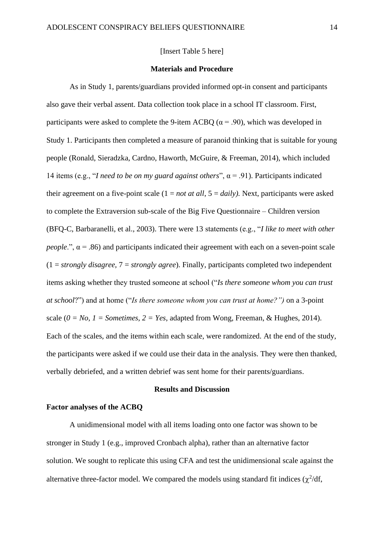#### [Insert Table 5 here]

#### **Materials and Procedure**

As in Study 1, parents/guardians provided informed opt-in consent and participants also gave their verbal assent. Data collection took place in a school IT classroom. First, participants were asked to complete the 9-item ACBQ ( $\alpha$  = .90), which was developed in Study 1. Participants then completed a measure of paranoid thinking that is suitable for young people (Ronald, Sieradzka, Cardno, Haworth, McGuire, & Freeman, 2014), which included 14 items (e.g., "*I need to be on my guard against others*", α = .91). Participants indicated their agreement on a five-point scale  $(1 = not at all, 5 = daily)$ . Next, participants were asked to complete the Extraversion sub-scale of the Big Five Questionnaire – Children version (BFQ-C, Barbaranelli, et al., 2003). There were 13 statements (e.g., "*I like to meet with other people*.",  $\alpha$  = .86) and participants indicated their agreement with each on a seven-point scale (1 = *strongly disagree,* 7 = *strongly agree*). Finally, participants completed two independent items asking whether they trusted someone at school ("*Is there someone whom you can trust at school*?") and at home ("*Is there someone whom you can trust at home?")* on a 3-point scale  $(0 = No, 1 = Sometimes, 2 = Yes, adapted from Wong, Freeman, & Hughes, 2014).$ Each of the scales, and the items within each scale, were randomized. At the end of the study, the participants were asked if we could use their data in the analysis. They were then thanked, verbally debriefed, and a written debrief was sent home for their parents/guardians.

#### **Results and Discussion**

# **Factor analyses of the ACBQ**

A unidimensional model with all items loading onto one factor was shown to be stronger in Study 1 (e.g., improved Cronbach alpha), rather than an alternative factor solution. We sought to replicate this using CFA and test the unidimensional scale against the alternative three-factor model. We compared the models using standard fit indices  $(\chi^2/df)$ ,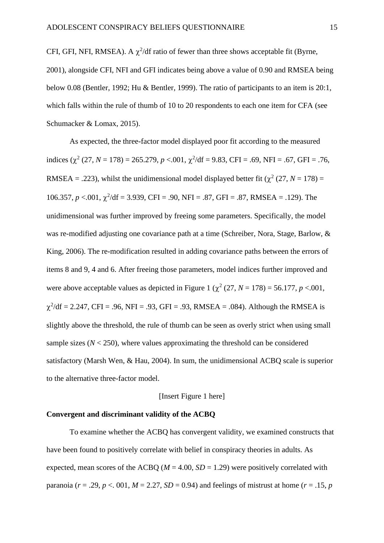CFI, GFI, NFI, RMSEA). A  $\chi^2$ /df ratio of fewer than three shows acceptable fit (Byrne, 2001), alongside CFI, NFI and GFI indicates being above a value of 0.90 and RMSEA being below 0.08 (Bentler, 1992; Hu & Bentler, 1999). The ratio of participants to an item is 20:1, which falls within the rule of thumb of 10 to 20 respondents to each one item for CFA (see Schumacker & Lomax, 2015).

As expected, the three-factor model displayed poor fit according to the measured indices  $(\chi^2 (27, N = 178) = 265.279, p < .001, \chi^2/df = 9.83, CFI = .69, NFI = .67, GFI = .76,$ RMSEA = .223), whilst the unidimensional model displayed better fit ( $\chi^2$  (27, *N* = 178) = 106.357,  $p < 0.01$ ,  $\chi^2$ /df = 3.939, CFI = .90, NFI = .87, GFI = .87, RMSEA = .129). The unidimensional was further improved by freeing some parameters. Specifically, the model was re-modified adjusting one covariance path at a time (Schreiber, Nora, Stage, Barlow, & King, 2006). The re-modification resulted in adding covariance paths between the errors of items 8 and 9, 4 and 6. After freeing those parameters, model indices further improved and were above acceptable values as depicted in Figure 1 ( $\chi^2$  (27, *N* = 178) = 56.177, *p* <.001,  $\chi^2$ /df = 2.247, CFI = .96, NFI = .93, GFI = .93, RMSEA = .084). Although the RMSEA is slightly above the threshold, the rule of thumb can be seen as overly strict when using small sample sizes  $(N < 250)$ , where values approximating the threshold can be considered satisfactory (Marsh Wen, & Hau, 2004). In sum, the unidimensional ACBQ scale is superior to the alternative three-factor model.

# [Insert Figure 1 here]

# **Convergent and discriminant validity of the ACBQ**

To examine whether the ACBQ has convergent validity, we examined constructs that have been found to positively correlate with belief in conspiracy theories in adults. As expected, mean scores of the ACBQ ( $M = 4.00$ ,  $SD = 1.29$ ) were positively correlated with paranoia ( $r = .29$ ,  $p < .001$ ,  $M = 2.27$ ,  $SD = 0.94$ ) and feelings of mistrust at home ( $r = .15$ ,  $p = .001$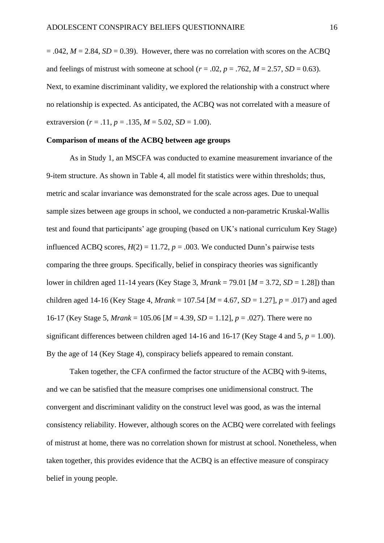$= .042$ ,  $M = 2.84$ ,  $SD = 0.39$ ). However, there was no correlation with scores on the ACBQ and feelings of mistrust with someone at school ( $r = .02$ ,  $p = .762$ ,  $M = 2.57$ ,  $SD = 0.63$ ). Next, to examine discriminant validity, we explored the relationship with a construct where no relationship is expected. As anticipated, the ACBQ was not correlated with a measure of extraversion ( $r = .11$ ,  $p = .135$ ,  $M = 5.02$ ,  $SD = 1.00$ ).

#### **Comparison of means of the ACBQ between age groups**

As in Study 1, an MSCFA was conducted to examine measurement invariance of the 9-item structure. As shown in Table 4, all model fit statistics were within thresholds; thus, metric and scalar invariance was demonstrated for the scale across ages. Due to unequal sample sizes between age groups in school, we conducted a non-parametric Kruskal-Wallis test and found that participants' age grouping (based on UK's national curriculum Key Stage) influenced ACBQ scores,  $H(2) = 11.72$ ,  $p = .003$ . We conducted Dunn's pairwise tests comparing the three groups. Specifically, belief in conspiracy theories was significantly lower in children aged 11-14 years (Key Stage 3, *Mrank* = 79.01 [*M* = 3.72, *SD* = 1.28]) than children aged 14-16 (Key Stage 4, *Mrank* = 107.54 [*M* = 4.67, *SD* = 1.27], *p* = .017) and aged 16-17 (Key Stage 5, *Mrank* = 105.06 [*M* = 4.39, *SD* = 1.12], *p* = .027). There were no significant differences between children aged 14-16 and 16-17 (Key Stage 4 and 5,  $p = 1.00$ ). By the age of 14 (Key Stage 4), conspiracy beliefs appeared to remain constant.

Taken together, the CFA confirmed the factor structure of the ACBQ with 9-items, and we can be satisfied that the measure comprises one unidimensional construct. The convergent and discriminant validity on the construct level was good, as was the internal consistency reliability. However, although scores on the ACBQ were correlated with feelings of mistrust at home, there was no correlation shown for mistrust at school. Nonetheless, when taken together, this provides evidence that the ACBQ is an effective measure of conspiracy belief in young people.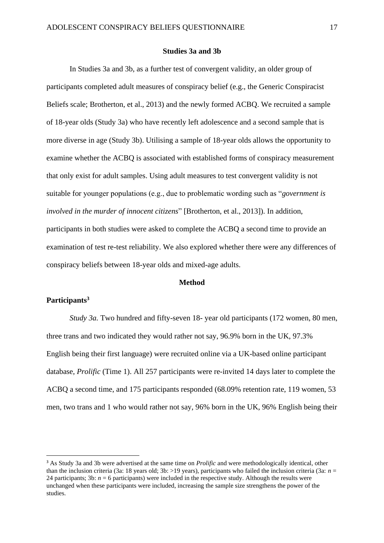### **Studies 3a and 3b**

In Studies 3a and 3b, as a further test of convergent validity, an older group of participants completed adult measures of conspiracy belief (e.g., the Generic Conspiracist Beliefs scale; Brotherton, et al., 2013) and the newly formed ACBQ. We recruited a sample of 18-year olds (Study 3a) who have recently left adolescence and a second sample that is more diverse in age (Study 3b). Utilising a sample of 18-year olds allows the opportunity to examine whether the ACBQ is associated with established forms of conspiracy measurement that only exist for adult samples. Using adult measures to test convergent validity is not suitable for younger populations (e.g., due to problematic wording such as "*government is involved in the murder of innocent citizens*" [Brotherton, et al., 2013]). In addition, participants in both studies were asked to complete the ACBQ a second time to provide an examination of test re-test reliability. We also explored whether there were any differences of conspiracy beliefs between 18-year olds and mixed-age adults.

# **Method**

# **Participants<sup>3</sup>**

*Study 3a.* Two hundred and fifty-seven 18- year old participants (172 women, 80 men, three trans and two indicated they would rather not say, 96.9% born in the UK, 97.3% English being their first language) were recruited online via a UK-based online participant database, *Prolific* (Time 1). All 257 participants were re-invited 14 days later to complete the ACBQ a second time, and 175 participants responded (68.09% retention rate, 119 women, 53 men, two trans and 1 who would rather not say, 96% born in the UK, 96% English being their

<sup>3</sup> As Study 3a and 3b were advertised at the same time on *Prolific* and were methodologically identical, other than the inclusion criteria (3a: 18 years old; 3b:  $>19$  years), participants who failed the inclusion criteria (3a:  $n =$ 24 participants; 3b:  $n = 6$  participants) were included in the respective study. Although the results were unchanged when these participants were included, increasing the sample size strengthens the power of the studies.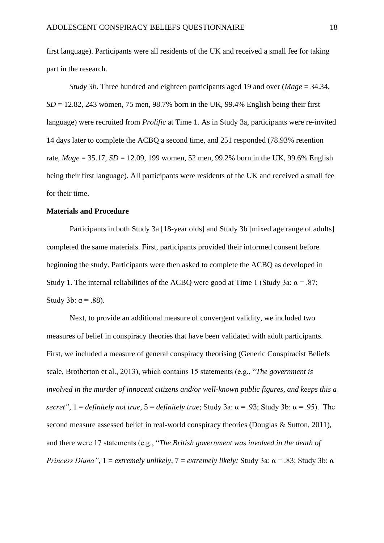first language). Participants were all residents of the UK and received a small fee for taking part in the research.

*Study 3b*. Three hundred and eighteen participants aged 19 and over (*Mage* = 34.34,  $SD = 12.82$ , 243 women, 75 men, 98.7% born in the UK, 99.4% English being their first language) were recruited from *Prolific* at Time 1. As in Study 3a, participants were re-invited 14 days later to complete the ACBQ a second time, and 251 responded (78.93% retention rate, *Mage* = 35.17, *SD* = 12.09, 199 women, 52 men, 99.2% born in the UK, 99.6% English being their first language). All participants were residents of the UK and received a small fee for their time.

### **Materials and Procedure**

Participants in both Study 3a [18-year olds] and Study 3b [mixed age range of adults] completed the same materials. First, participants provided their informed consent before beginning the study. Participants were then asked to complete the ACBQ as developed in Study 1. The internal reliabilities of the ACBQ were good at Time 1 (Study 3a:  $\alpha = .87$ ; Study 3b:  $\alpha = .88$ ).

Next, to provide an additional measure of convergent validity, we included two measures of belief in conspiracy theories that have been validated with adult participants. First, we included a measure of general conspiracy theorising (Generic Conspiracist Beliefs scale, Brotherton et al., 2013), which contains 15 statements (e.g., "*The government is involved in the murder of innocent citizens and/or well-known public figures, and keeps this a secret"*,  $1 =$  *definitely not true*,  $5 =$  *definitely true*; Study 3a:  $\alpha = .93$ ; Study 3b:  $\alpha = .95$ ). The second measure assessed belief in real-world conspiracy theories (Douglas & Sutton, 2011), and there were 17 statements (e.g., "*The British government was involved in the death of Princess Diana"*, 1 = *extremely unlikely*, 7 = *extremely likely;* Study 3a: α = .83; Study 3b: α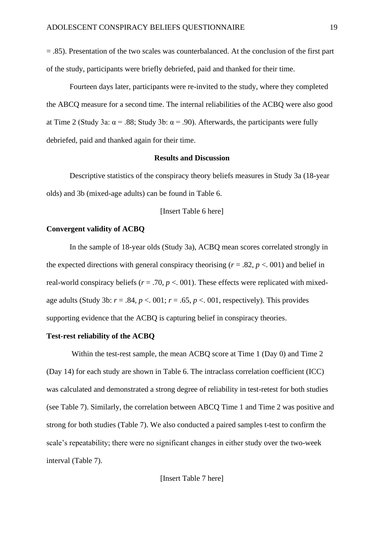= .85). Presentation of the two scales was counterbalanced. At the conclusion of the first part of the study, participants were briefly debriefed, paid and thanked for their time.

Fourteen days later, participants were re-invited to the study, where they completed the ABCQ measure for a second time. The internal reliabilities of the ACBQ were also good at Time 2 (Study 3a:  $\alpha$  = .88; Study 3b:  $\alpha$  = .90). Afterwards, the participants were fully debriefed, paid and thanked again for their time.

### **Results and Discussion**

Descriptive statistics of the conspiracy theory beliefs measures in Study 3a (18-year olds) and 3b (mixed-age adults) can be found in Table 6.

# [Insert Table 6 here]

# **Convergent validity of ACBQ**

In the sample of 18-year olds (Study 3a), ACBQ mean scores correlated strongly in the expected directions with general conspiracy theorising ( $r = .82$ ,  $p < .001$ ) and belief in real-world conspiracy beliefs ( $r = .70$ ,  $p < .001$ ). These effects were replicated with mixedage adults (Study 3b:  $r = .84$ ,  $p < .001$ ;  $r = .65$ ,  $p < .001$ , respectively). This provides supporting evidence that the ACBQ is capturing belief in conspiracy theories.

# **Test-rest reliability of the ACBQ**

Within the test-rest sample, the mean ACBQ score at Time 1 (Day 0) and Time 2 (Day 14) for each study are shown in Table 6. The intraclass correlation coefficient (ICC) was calculated and demonstrated a strong degree of reliability in test-retest for both studies (see Table 7). Similarly, the correlation between ABCQ Time 1 and Time 2 was positive and strong for both studies (Table 7). We also conducted a paired samples t-test to confirm the scale's repeatability; there were no significant changes in either study over the two-week interval (Table 7).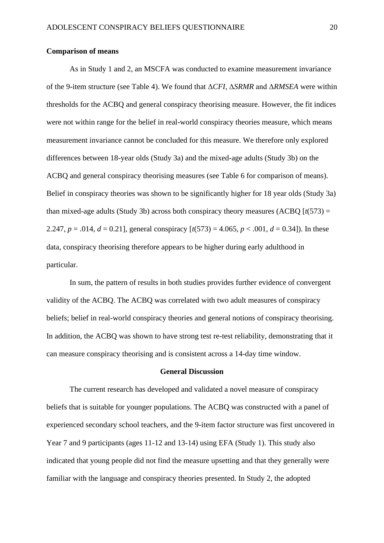### **Comparison of means**

As in Study 1 and 2, an MSCFA was conducted to examine measurement invariance of the 9-item structure (see Table 4). We found that Δ*CFI,* Δ*SRMR* and Δ*RMSEA* were within thresholds for the ACBQ and general conspiracy theorising measure. However, the fit indices were not within range for the belief in real-world conspiracy theories measure, which means measurement invariance cannot be concluded for this measure. We therefore only explored differences between 18-year olds (Study 3a) and the mixed-age adults (Study 3b) on the ACBQ and general conspiracy theorising measures (see Table 6 for comparison of means). Belief in conspiracy theories was shown to be significantly higher for 18 year olds (Study 3a) than mixed-age adults (Study 3b) across both conspiracy theory measures (ACBQ  $[t(573) =$ 2.247,  $p = .014$ ,  $d = 0.21$ ], general conspiracy  $[t(573) = 4.065, p < .001, d = 0.34]$ ). In these data, conspiracy theorising therefore appears to be higher during early adulthood in particular.

In sum, the pattern of results in both studies provides further evidence of convergent validity of the ACBQ. The ACBQ was correlated with two adult measures of conspiracy beliefs; belief in real-world conspiracy theories and general notions of conspiracy theorising. In addition, the ACBQ was shown to have strong test re-test reliability, demonstrating that it can measure conspiracy theorising and is consistent across a 14-day time window.

# **General Discussion**

The current research has developed and validated a novel measure of conspiracy beliefs that is suitable for younger populations. The ACBQ was constructed with a panel of experienced secondary school teachers, and the 9-item factor structure was first uncovered in Year 7 and 9 participants (ages 11-12 and 13-14) using EFA (Study 1). This study also indicated that young people did not find the measure upsetting and that they generally were familiar with the language and conspiracy theories presented. In Study 2, the adopted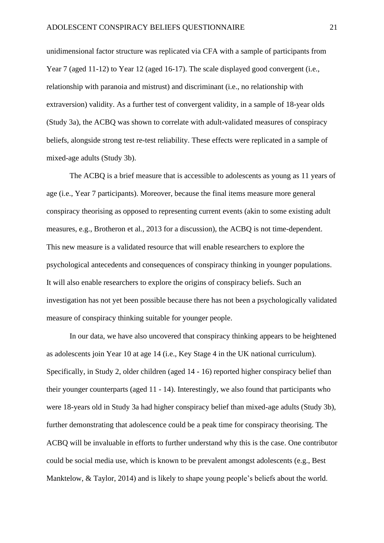unidimensional factor structure was replicated via CFA with a sample of participants from Year 7 (aged 11-12) to Year 12 (aged 16-17). The scale displayed good convergent (i.e., relationship with paranoia and mistrust) and discriminant (i.e., no relationship with extraversion) validity. As a further test of convergent validity, in a sample of 18-year olds (Study 3a), the ACBQ was shown to correlate with adult-validated measures of conspiracy beliefs, alongside strong test re-test reliability. These effects were replicated in a sample of mixed-age adults (Study 3b).

The ACBQ is a brief measure that is accessible to adolescents as young as 11 years of age (i.e., Year 7 participants). Moreover, because the final items measure more general conspiracy theorising as opposed to representing current events (akin to some existing adult measures, e.g., Brotheron et al., 2013 for a discussion), the ACBQ is not time-dependent. This new measure is a validated resource that will enable researchers to explore the psychological antecedents and consequences of conspiracy thinking in younger populations. It will also enable researchers to explore the origins of conspiracy beliefs. Such an investigation has not yet been possible because there has not been a psychologically validated measure of conspiracy thinking suitable for younger people.

In our data, we have also uncovered that conspiracy thinking appears to be heightened as adolescents join Year 10 at age 14 (i.e., Key Stage 4 in the UK national curriculum). Specifically, in Study 2, older children (aged 14 - 16) reported higher conspiracy belief than their younger counterparts (aged 11 - 14). Interestingly, we also found that participants who were 18-years old in Study 3a had higher conspiracy belief than mixed-age adults (Study 3b), further demonstrating that adolescence could be a peak time for conspiracy theorising. The ACBQ will be invaluable in efforts to further understand why this is the case. One contributor could be social media use, which is known to be prevalent amongst adolescents (e.g., Best Manktelow, & Taylor, 2014) and is likely to shape young people's beliefs about the world.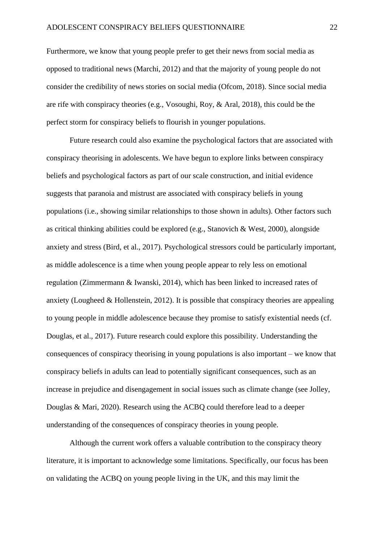Furthermore, we know that young people prefer to get their news from social media as opposed to traditional news (Marchi, 2012) and that the majority of young people do not consider the credibility of news stories on social media (Ofcom, 2018). Since social media are rife with conspiracy theories (e.g., Vosoughi, Roy, & Aral, [2018\)](https://onlinelibrary.wiley.com/doi/full/10.1111/pops.12568#pops12568-bib-0269), this could be the perfect storm for conspiracy beliefs to flourish in younger populations.

Future research could also examine the psychological factors that are associated with conspiracy theorising in adolescents. We have begun to explore links between conspiracy beliefs and psychological factors as part of our scale construction, and initial evidence suggests that paranoia and mistrust are associated with conspiracy beliefs in young populations (i.e., showing similar relationships to those shown in adults). Other factors such as critical thinking abilities could be explored (e.g., Stanovich & West, 2000), alongside anxiety and stress (Bird, et al., 2017). Psychological stressors could be particularly important, as middle adolescence is a time when young people appear to rely less on emotional regulation (Zimmermann & Iwanski, 2014), which has been linked to increased rates of anxiety (Lougheed & Hollenstein, 2012). It is possible that conspiracy theories are appealing to young people in middle adolescence because they promise to satisfy existential needs (cf. Douglas, et al., 2017). Future research could explore this possibility. Understanding the consequences of conspiracy theorising in young populations is also important – we know that conspiracy beliefs in adults can lead to potentially significant consequences, such as an increase in prejudice and disengagement in social issues such as climate change (see Jolley, Douglas & Mari, 2020). Research using the ACBQ could therefore lead to a deeper understanding of the consequences of conspiracy theories in young people.

Although the current work offers a valuable contribution to the conspiracy theory literature, it is important to acknowledge some limitations. Specifically, our focus has been on validating the ACBQ on young people living in the UK, and this may limit the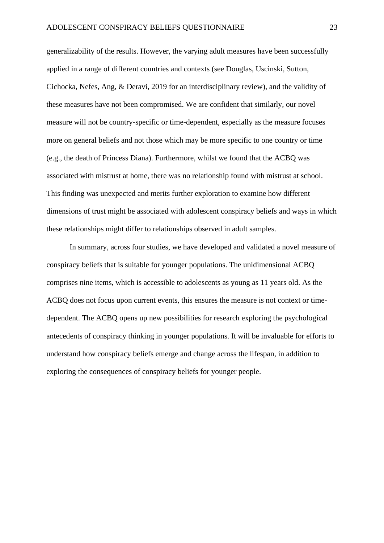generalizability of the results. However, the varying adult measures have been successfully applied in a range of different countries and contexts (see Douglas, Uscinski, Sutton, Cichocka, Nefes, Ang, & Deravi, 2019 for an interdisciplinary review), and the validity of these measures have not been compromised. We are confident that similarly, our novel measure will not be country-specific or time-dependent, especially as the measure focuses more on general beliefs and not those which may be more specific to one country or time (e.g., the death of Princess Diana). Furthermore, whilst we found that the ACBQ was associated with mistrust at home, there was no relationship found with mistrust at school. This finding was unexpected and merits further exploration to examine how different dimensions of trust might be associated with adolescent conspiracy beliefs and ways in which these relationships might differ to relationships observed in adult samples.

In summary, across four studies, we have developed and validated a novel measure of conspiracy beliefs that is suitable for younger populations. The unidimensional ACBQ comprises nine items, which is accessible to adolescents as young as 11 years old. As the ACBQ does not focus upon current events, this ensures the measure is not context or timedependent. The ACBQ opens up new possibilities for research exploring the psychological antecedents of conspiracy thinking in younger populations. It will be invaluable for efforts to understand how conspiracy beliefs emerge and change across the lifespan, in addition to exploring the consequences of conspiracy beliefs for younger people.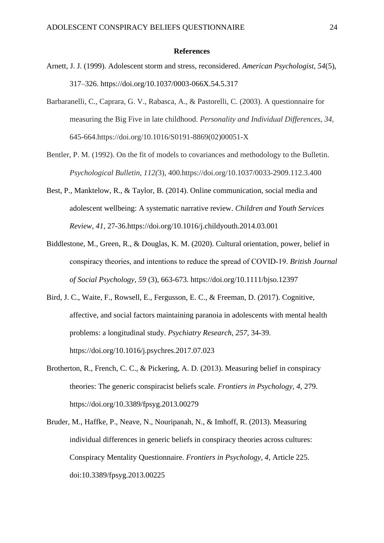#### **References**

- Arnett, J. J. (1999). Adolescent storm and stress, reconsidered. *American Psychologist, 54*(5), 317–326. [https://doi.org/10.1037/0003-066X.54.5.317](https://psycnet.apa.org/doi/10.1037/0003-066X.54.5.317)
- Barbaranelli, C., Caprara, G. V., Rabasca, A., & Pastorelli, C. (2003). A questionnaire for measuring the Big Five in late childhood. *Personality and Individual Differences, 34,* 645-664.https://doi.org/10.1016/S0191-8869(02)00051-X
- Bentler, P. M. (1992). On the fit of models to covariances and methodology to the Bulletin. *Psychological Bulletin, 112(*3), 400.https://doi.org/10.1037/0033-2909.112.3.400
- Best, P., Manktelow, R., & Taylor, B. (2014). Online communication, social media and adolescent wellbeing: A systematic narrative review. *Children and Youth Services Review, 41*, 27-36.https://doi.org/10.1016/j.childyouth.2014.03.001
- Biddlestone, M., Green, R., & Douglas, K. M. (2020). Cultural orientation, power, belief in conspiracy theories, and intentions to reduce the spread of COVID‐19. *British Journal of Social Psychology, 59* (3), 663-673. https://doi.org[/10.1111/bjso.12397](https://doi.org/10.1111/bjso.12397)
- Bird, J. C., Waite, F., Rowsell, E., Fergusson, E. C., & Freeman, D. (2017). Cognitive, affective, and social factors maintaining paranoia in adolescents with mental health problems: a longitudinal study. *Psychiatry Research, 257*, 34-39. https://doi.org/10.1016/j.psychres.2017.07.023
- Brotherton, R., French, C. C., & Pickering, A. D. (2013). Measuring belief in conspiracy theories: The generic conspiracist beliefs scale. *Frontiers in Psychology*, *4*, 279. https://doi.org/10.3389/fpsyg.2013.00279
- Bruder, M., Haffke, P., Neave, N., Nouripanah, N., & Imhoff, R. (2013). Measuring individual differences in generic beliefs in conspiracy theories across cultures: Conspiracy Mentality Questionnaire. *Frontiers in Psychology, 4,* Article 225. doi:10.3389/fpsyg.2013.00225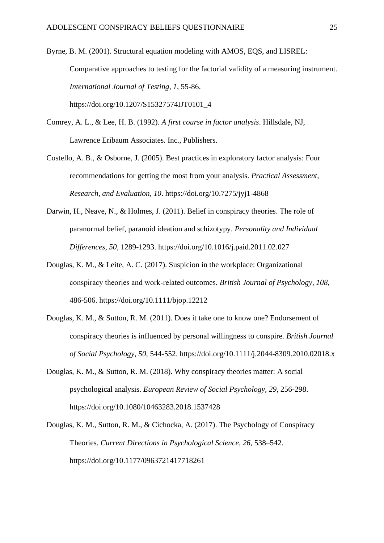Byrne, B. M. (2001). Structural equation modeling with AMOS, EQS, and LISREL: Comparative approaches to testing for the factorial validity of a measuring instrument. *International Journal of Testing, 1*, 55-86. https://doi.org/10.1207/S15327574IJT0101\_4

- Comrey, A. L., & Lee, H. B. (1992). *A first course in factor analysis*. Hillsdale, NJ, Lawrence Eribaum Associates. Inc., Publishers.
- Costello, A. B., & Osborne, J. (2005). Best practices in exploratory factor analysis: Four recommendations for getting the most from your analysis. *Practical Assessment, Research, and Evaluation, 10*. https://doi.org/10.7275/jyj1-4868
- Darwin, H., Neave, N., & Holmes, J. (2011). Belief in conspiracy theories. The role of paranormal belief, paranoid ideation and schizotypy. *Personality and Individual Differences, 50,* 1289-1293. https://doi.org/10.1016/j.paid.2011.02.027
- Douglas, K. M., & Leite, A. C. (2017). Suspicion in the workplace: Organizational conspiracy theories and work‐related outcomes. *British Journal of Psychology, 108,* 486-506.<https://doi.org/10.1111/bjop.12212>
- Douglas, K. M., & Sutton, R. M. (2011). Does it take one to know one? Endorsement of conspiracy theories is influenced by personal willingness to conspire. *British Journal of Social Psychology, 50*, 544-552. https://doi.org/10.1111/j.2044-8309.2010.02018.x
- Douglas, K. M., & Sutton, R. M. (2018). Why conspiracy theories matter: A social psychological analysis. *European Review of Social Psychology, 29,* 256-298. <https://doi.org/10.1080/10463283.2018.1537428>
- Douglas, K. M., Sutton, R. M., & Cichocka, A. (2017). The Psychology of Conspiracy Theories. *Current Directions in Psychological Science*, *26*, 538–542. https://doi.org/10.1177/0963721417718261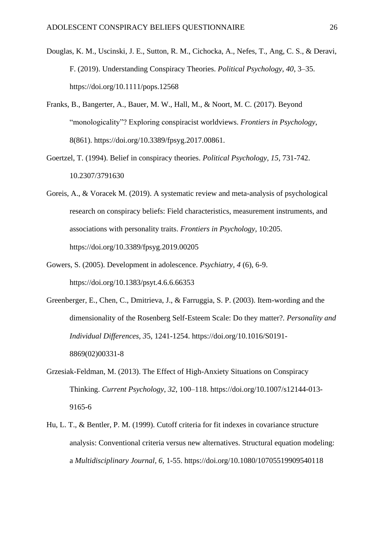- Douglas, K. M., Uscinski, J. E., Sutton, R. M., Cichocka, A., Nefes, T., Ang, C. S., & Deravi, F. (2019). Understanding Conspiracy Theories. *Political Psychology, 40*, 3–35. https://doi.org/10.1111/pops.12568
- Franks, B., Bangerter, A., Bauer, M. W., Hall, M., & Noort, M. C. (2017). Beyond "monologicality"? Exploring conspiracist worldviews. *Frontiers in Psychology*, 8(861). https://doi.org/10.3389/fpsyg.2017.00861.
- Goertzel, T. (1994). Belief in conspiracy theories. *Political Psychology, 15,* 731-742. 10.2307/3791630
- Goreis, A., & Voracek M. (2019). A systematic review and meta-analysis of psychological research on conspiracy beliefs: Field characteristics, measurement instruments, and associations with personality traits. *Frontiers in Psychology,* 10:205. https://doi.org[/10.3389/fpsyg.2019.00205](https://doi.org/10.3389/fpsyg.2019.00205)
- Gowers, S. (2005). Development in adolescence. *Psychiatry, 4* (6), 6-9. <https://doi.org/10.1383/psyt.4.6.6.66353>
- Greenberger, E., Chen, C., Dmitrieva, J., & Farruggia, S. P. (2003). Item-wording and the dimensionality of the Rosenberg Self-Esteem Scale: Do they matter?. *Personality and Individual Differences, 3*5, 1241-1254. https://doi.org/10.1016/S0191- 8869(02)00331-8
- Grzesiak-Feldman, M. (2013). The Effect of High-Anxiety Situations on Conspiracy Thinking. *Current Psychology*, *32*, 100–118. https://doi.org/10.1007/s12144-013- 9165-6
- Hu, L. T., & Bentler, P. M. (1999). Cutoff criteria for fit indexes in covariance structure analysis: Conventional criteria versus new alternatives. Structural equation modeling: a *Multidisciplinary Journal, 6,* 1-55. https://doi.org/10.1080/10705519909540118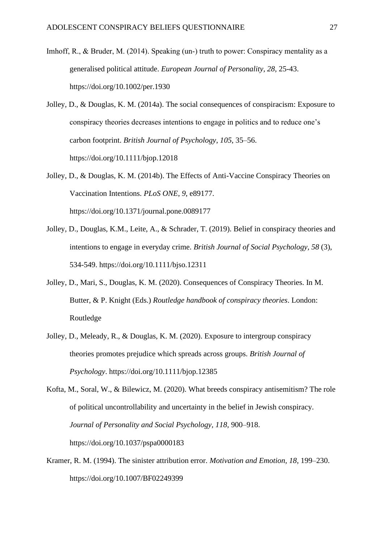- Imhoff, R., & Bruder, M. (2014). Speaking (un-) truth to power: Conspiracy mentality as a generalised political attitude. *European Journal of Personality, 28,* 25-43. https://doi.org/10.1002/per.1930
- Jolley, D., & Douglas, K. M. (2014a). The social consequences of conspiracism: Exposure to conspiracy theories decreases intentions to engage in politics and to reduce one's carbon footprint. *British Journal of Psychology*, *105*, 35–56. https://doi.org/10.1111/bjop.12018
- Jolley, D., & Douglas, K. M. (2014b). The Effects of Anti-Vaccine Conspiracy Theories on Vaccination Intentions. *PLoS ONE*, *9*, e89177. https://doi.org/10.1371/journal.pone.0089177
- Jolley, D., Douglas, K.M., Leite, A., & Schrader, T. (2019). Belief in conspiracy theories and intentions to engage in everyday crime. *British Journal of Social Psychology, 58* (3), 534-549. https://doi.org/10.1111/bjso.12311
- Jolley, D., Mari, S., Douglas, K. M. (2020). Consequences of Conspiracy Theories. In M. Butter, & P. Knight (Eds.) *Routledge handbook of conspiracy theories*. London: Routledge
- Jolley, D., Meleady, R., & Douglas, K. M. (2020). Exposure to intergroup conspiracy theories promotes prejudice which spreads across groups. *British Journal of Psychology*. https://doi.org/10.1111/bjop.12385
- Kofta, M., Soral, W., & Bilewicz, M. (2020). What breeds conspiracy antisemitism? The role of political uncontrollability and uncertainty in the belief in Jewish conspiracy. *Journal of Personality and Social Psychology, 118,* 900–918. https://doi.org/10.1037/pspa0000183
- Kramer, R. M. (1994). The sinister attribution error. *Motivation and Emotion, 18*, 199–230. https://doi.org/10.1007/BF02249399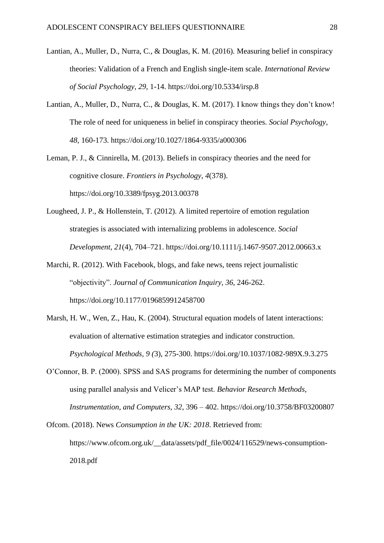- Lantian, A., Muller, D., Nurra, C., & Douglas, K. M. (2016). Measuring belief in conspiracy theories: Validation of a French and English single-item scale. *International Review of Social Psychology, 29,* 1-14. https://doi.org/10.5334/irsp.8
- Lantian, A., Muller, D., Nurra, C., & Douglas, K. M. (2017). I know things they don't know! The role of need for uniqueness in belief in conspiracy theories. *Social Psychology, 48,* 160-173. https://doi.org/10.1027/1864-9335/a000306
- Leman, P. J., & Cinnirella, M. (2013). Beliefs in conspiracy theories and the need for cognitive closure. *Frontiers in Psychology*, *4*(378). https://doi.org/10.3389/fpsyg.2013.00378
- Lougheed, J. P., & Hollenstein, T. (2012). A limited repertoire of emotion regulation strategies is associated with internalizing problems in adolescence. *Social Development, 21*(4), 704–721. [https://doi.org/10.1111/j.1467-9507.2012.00663.x](https://psycnet.apa.org/doi/10.1111/j.1467-9507.2012.00663.x)
- Marchi, R. (2012). With Facebook, blogs, and fake news, teens reject journalistic "objectivity". *Journal of Communication Inquiry, 36,* 246-262. https://doi.org/10.1177/0196859912458700
- Marsh, H. W., Wen, Z., Hau, K. (2004). Structural equation models of latent interactions: evaluation of alternative estimation strategies and indicator construction. *Psychological Methods, 9 (*3), 275-300. https://doi.org/10.1037/1082-989X.9.3.275
- O'Connor, B. P. (2000). SPSS and SAS programs for determining the number of components using parallel analysis and Velicer's MAP test. *Behavior Research Methods, Instrumentation, and Computers, 32*, 396 – 402. https://doi.org/10.3758/BF03200807

Ofcom. (2018). News *Consumption in the UK: 2018*. Retrieved from: https://www.ofcom.org.uk/ data/assets/pdf file/0024/116529/news-consumption-2018.pdf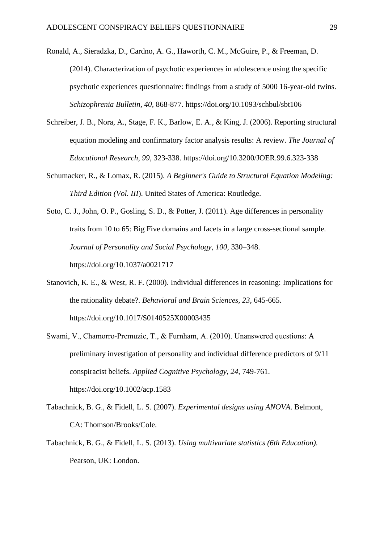- Ronald, A., Sieradzka, D., Cardno, A. G., Haworth, C. M., McGuire, P., & Freeman, D. (2014). Characterization of psychotic experiences in adolescence using the specific psychotic experiences questionnaire: findings from a study of 5000 16-year-old twins. *Schizophrenia Bulletin, 40,* 868-877. https://doi.org/10.1093/schbul/sbt106
- Schreiber, J. B., Nora, A., Stage, F. K., Barlow, E. A., & King, J. (2006). Reporting structural equation modeling and confirmatory factor analysis results: A review. *The Journal of Educational Research, 99,* 323-338. https://doi.org/10.3200/JOER.99.6.323-338
- Schumacker, R., & Lomax, R. (2015). *A Beginner's Guide to Structural Equation Modeling: Third Edition (Vol. III*). United States of America: Routledge.
- Soto, C. J., John, O. P., Gosling, S. D., & Potter, J. (2011). Age differences in personality traits from 10 to 65: Big Five domains and facets in a large cross-sectional sample. *Journal of Personality and Social Psychology, 100,* 330–348. https://doi.org[/10.1037/a0021717](https://doi.org/10.1037/a0021717)
- Stanovich, K. E., & West, R. F. (2000). Individual differences in reasoning: Implications for the rationality debate?. *Behavioral and Brain Sciences, 23,* 645-665. https://doi.org/10.1017/S0140525X00003435
- Swami, V., Chamorro‐Premuzic, T., & Furnham, A. (2010). Unanswered questions: A preliminary investigation of personality and individual difference predictors of 9/11 conspiracist beliefs. *Applied Cognitive Psychology, 24,* 749-761. https://doi.org/10.1002/acp.1583
- Tabachnick, B. G., & Fidell, L. S. (2007). *Experimental designs using ANOVA*. Belmont, CA: Thomson/Brooks/Cole.
- Tabachnick, B. G., & Fidell, L. S. (2013). *Using multivariate statistics (6th Education).* Pearson, UK: London.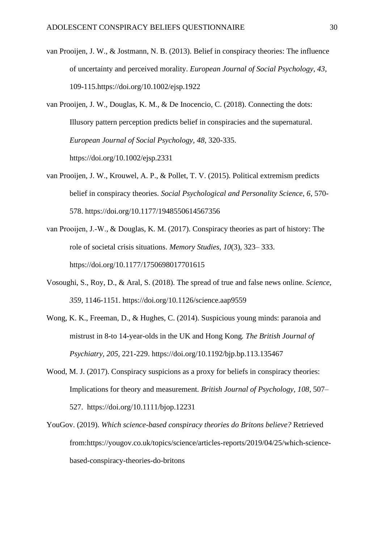- van Prooijen, J. W., & Jostmann, N. B. (2013). Belief in conspiracy theories: The influence of uncertainty and perceived morality. *European Journal of Social Psychology, 43*, 109-115.https://doi.org/10.1002/ejsp.1922
- van Prooijen, J. W., Douglas, K. M., & De Inocencio, C. (2018). Connecting the dots: Illusory pattern perception predicts belief in conspiracies and the supernatural. *European Journal of Social Psychology, 48*, 320-335. https://doi.org/10.1002/ejsp.2331
- van Prooijen, J. W., Krouwel, A. P., & Pollet, T. V. (2015). Political extremism predicts belief in conspiracy theories. *Social Psychological and Personality Science, 6*, 570- 578. https://doi.org/10.1177/1948550614567356
- van Prooijen, J.‐W., & Douglas, K. M. (2017). Conspiracy theories as part of history: The role of societal crisis situations. *Memory Studies*, *10*(3), 323– 333. https://doi.org/10.1177/1750698017701615
- Vosoughi, S., Roy, D., & Aral, S. (2018). The spread of true and false news online. *Science, 359*, 1146-1151. https://doi.org/10.1126/science.aap9559
- Wong, K. K., Freeman, D., & Hughes, C. (2014). Suspicious young minds: paranoia and mistrust in 8-to 14-year-olds in the UK and Hong Kong*. The British Journal of Psychiatry, 205,* 221-229. https://doi.org/10.1192/bjp.bp.113.135467
- Wood, M. J. (2017). Conspiracy suspicions as a proxy for beliefs in conspiracy theories: Implications for theory and measurement. *British Journal of Psychology, 108*, 507– 527. https://doi.org/10.1111/bjop.12231
- YouGov. (2019). *Which science-based conspiracy theories do Britons believe?* Retrieved from[:https://yougov.co.uk/topics/science/articles-reports/2019/04/25/which-science](https://yougov.co.uk/topics/science/articles-reports/2019/04/25/which-science-based-conspiracy-theories-do-britons)[based-conspiracy-theories-do-britons](https://yougov.co.uk/topics/science/articles-reports/2019/04/25/which-science-based-conspiracy-theories-do-britons)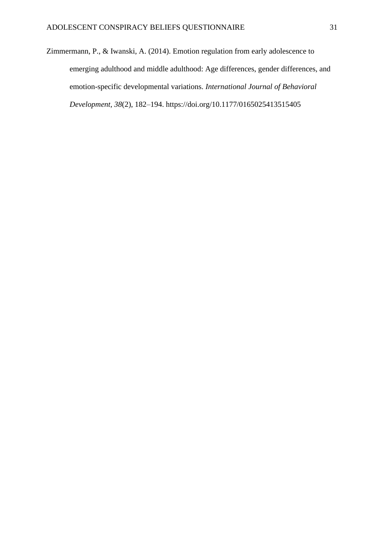Zimmermann, P., & Iwanski, A. (2014). Emotion regulation from early adolescence to emerging adulthood and middle adulthood: Age differences, gender differences, and emotion-specific developmental variations. *International Journal of Behavioral Development, 38*(2), 182–194. [https://doi.org/10.1177/0165025413515405](https://psycnet.apa.org/doi/10.1177/0165025413515405)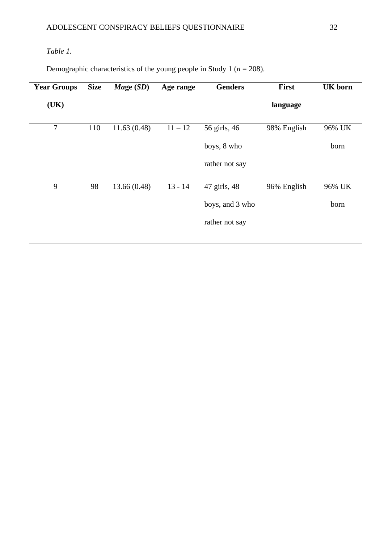# *Table 1.*

Demographic characteristics of the young people in Study 1 ( $n = 208$ ).

| <b>Year Groups</b> | <b>Size</b> | $\textit{Mage}\ (SD)$ | Age range | <b>Genders</b>  | <b>First</b> | <b>UK</b> born |  |
|--------------------|-------------|-----------------------|-----------|-----------------|--------------|----------------|--|
| (UK)               |             |                       |           |                 | language     |                |  |
| $\tau$             | 110         | 11.63(0.48)           | $11 - 12$ | 56 girls, 46    | 98% English  | 96% UK         |  |
|                    |             |                       |           | boys, 8 who     |              | born           |  |
|                    |             |                       |           | rather not say  |              |                |  |
| 9                  | 98          | 13.66(0.48)           | $13 - 14$ | 47 girls, 48    | 96% English  | 96% UK         |  |
|                    |             |                       |           | boys, and 3 who |              | born           |  |
|                    |             |                       |           | rather not say  |              |                |  |
|                    |             |                       |           |                 |              |                |  |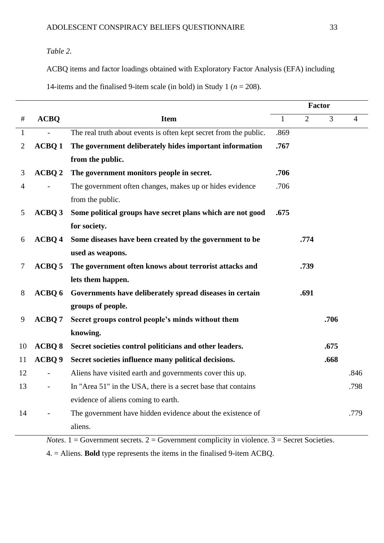# *Table 2.*

ACBQ items and factor loadings obtained with Exploratory Factor Analysis (EFA) including

|                |                   |                                                                   |              | <b>Factor</b>  |                |                |
|----------------|-------------------|-------------------------------------------------------------------|--------------|----------------|----------------|----------------|
| $\#$           | <b>ACBQ</b>       | <b>Item</b>                                                       | $\mathbf{1}$ | $\overline{2}$ | $\overline{3}$ | $\overline{4}$ |
| $\mathbf{1}$   |                   | The real truth about events is often kept secret from the public. | .869         |                |                |                |
| $\overline{2}$ | <b>ACBQ1</b>      | The government deliberately hides important information           | .767         |                |                |                |
|                |                   | from the public.                                                  |              |                |                |                |
| 3              | ACBQ <sub>2</sub> | The government monitors people in secret.                         | .706         |                |                |                |
| $\overline{4}$ |                   | The government often changes, makes up or hides evidence          | .706         |                |                |                |
|                |                   | from the public.                                                  |              |                |                |                |
| 5              | ACBQ 3            | Some political groups have secret plans which are not good        | .675         |                |                |                |
|                |                   | for society.                                                      |              |                |                |                |
| 6              | ACBQ 4            | Some diseases have been created by the government to be           |              | .774           |                |                |
|                |                   | used as weapons.                                                  |              |                |                |                |
| 7              | ACBQ 5            | The government often knows about terrorist attacks and            |              | .739           |                |                |
|                |                   | lets them happen.                                                 |              |                |                |                |
| 8              | ACBQ 6            | Governments have deliberately spread diseases in certain          |              | .691           |                |                |
|                |                   | groups of people.                                                 |              |                |                |                |
| 9              | ACBQ <sub>7</sub> | Secret groups control people's minds without them                 |              |                | .706           |                |
|                |                   | knowing.                                                          |              |                |                |                |
| 10             | <b>ACBQ 8</b>     | Secret societies control politicians and other leaders.           |              |                | .675           |                |
| 11             | ACBQ 9            | Secret societies influence many political decisions.              |              |                | .668           |                |
| 12             |                   | Aliens have visited earth and governments cover this up.          |              |                |                | .846           |
| 13             |                   | In "Area 51" in the USA, there is a secret base that contains     |              |                |                | .798           |
|                |                   | evidence of aliens coming to earth.                               |              |                |                |                |
| 14             |                   | The government have hidden evidence about the existence of        |              |                |                | .779           |
|                |                   | aliens.                                                           |              |                |                |                |

*Notes*.  $1 =$  Government secrets.  $2 =$  Government complicity in violence.  $3 =$  Secret Societies.

4. = Aliens. **Bold** type represents the items in the finalised 9-item ACBQ.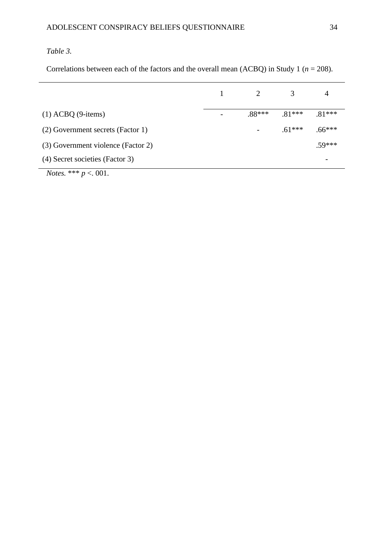# *Table 3.*

Correlations between each of the factors and the overall mean (ACBQ) in Study 1 (*n* = 208).

|                                    | 2        | 3        | 4        |
|------------------------------------|----------|----------|----------|
|                                    |          |          |          |
| $(1) ACBQ (9 - items)$             | $.88***$ | $.81***$ | $.81***$ |
| (2) Government secrets (Factor 1)  |          | $.61***$ | $.66***$ |
| (3) Government violence (Factor 2) |          |          | $.59***$ |
| (4) Secret societies (Factor 3)    |          |          |          |
| <i>Notes.</i> *** $p < 001$ .      |          |          |          |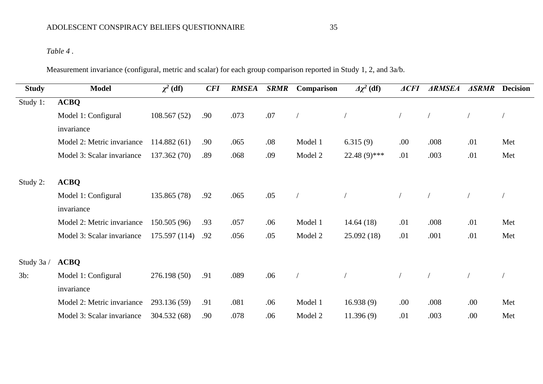# *Table 4 .*

Measurement invariance (configural, metric and scalar) for each group comparison reported in Study 1, 2, and 3a/b.

| <b>Study</b> | <b>Model</b>               | $\chi^2$ (df) | <b>CFI</b> | <b>RMSEA</b> | <b>SRMR</b> | Comparison | $\Delta \chi^2$ (df) | $\triangle$ <i>ACFI</i> | <b>ARMSEA</b> | <b>ASRMR</b> | <b>Decision</b> |
|--------------|----------------------------|---------------|------------|--------------|-------------|------------|----------------------|-------------------------|---------------|--------------|-----------------|
| Study 1:     | <b>ACBQ</b>                |               |            |              |             |            |                      |                         |               |              |                 |
|              | Model 1: Configural        | 108.567(52)   | .90        | .073         | .07         |            |                      |                         |               |              |                 |
|              | invariance                 |               |            |              |             |            |                      |                         |               |              |                 |
|              | Model 2: Metric invariance | 114.882(61)   | .90        | .065         | .08         | Model 1    | 6.315(9)             | .00                     | .008          | .01          | Met             |
|              | Model 3: Scalar invariance | 137.362 (70)  | .89        | .068         | .09         | Model 2    | $22.48(9)$ ***       | .01                     | .003          | .01          | Met             |
| Study 2:     | <b>ACBQ</b>                |               |            |              |             |            |                      |                         |               |              |                 |
|              | Model 1: Configural        | 135.865 (78)  | .92        | .065         | .05         |            |                      |                         |               |              |                 |
|              | invariance                 |               |            |              |             |            |                      |                         |               |              |                 |
|              | Model 2: Metric invariance | 150.505 (96)  | .93        | .057         | .06         | Model 1    | 14.64(18)            | .01                     | .008          | .01          | Met             |
|              | Model 3: Scalar invariance | 175.597(114)  | .92        | .056         | .05         | Model 2    | 25.092(18)           | .01                     | .001          | .01          | Met             |
| Study 3a /   | <b>ACBQ</b>                |               |            |              |             |            |                      |                         |               |              |                 |
| $3b$ :       | Model 1: Configural        | 276.198(50)   | .91        | .089         | .06         |            |                      |                         |               |              |                 |
|              | invariance                 |               |            |              |             |            |                      |                         |               |              |                 |
|              | Model 2: Metric invariance | 293.136 (59)  | .91        | .081         | .06         | Model 1    | 16.938(9)            | .00                     | .008          | .00          | Met             |
|              | Model 3: Scalar invariance | 304.532 (68)  | .90        | .078         | .06         | Model 2    | 11.396(9)            | .01                     | .003          | .00          | Met             |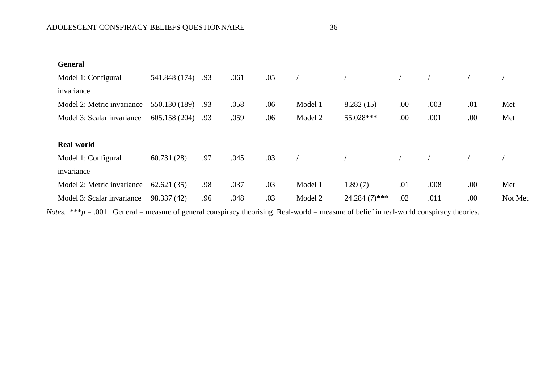| ۰.<br>×<br>٧ | ۰.<br>×<br>۰,<br>× |
|--------------|--------------------|

| <b>General</b>             |                   |     |      |     |         |                 |     |      |     |         |
|----------------------------|-------------------|-----|------|-----|---------|-----------------|-----|------|-----|---------|
| Model 1: Configural        | 541.848 (174)     | .93 | .061 | .05 |         |                 |     |      |     |         |
| invariance                 |                   |     |      |     |         |                 |     |      |     |         |
| Model 2: Metric invariance | 550.130 (189)     | .93 | .058 | .06 | Model 1 | 8.282(15)       | .00 | .003 | .01 | Met     |
| Model 3: Scalar invariance | 605.158 (204) .93 |     | .059 | .06 | Model 2 | 55.028***       | .00 | .001 | .00 | Met     |
|                            |                   |     |      |     |         |                 |     |      |     |         |
| <b>Real-world</b>          |                   |     |      |     |         |                 |     |      |     |         |
| Model 1: Configural        | 60.731(28)        | .97 | .045 | .03 |         |                 |     |      |     |         |
| invariance                 |                   |     |      |     |         |                 |     |      |     |         |
| Model 2: Metric invariance | 62.621(35)        | .98 | .037 | .03 | Model 1 | 1.89(7)         | .01 | .008 | .00 | Met     |
| Model 3: Scalar invariance | 98.337 (42)       | .96 | .048 | .03 | Model 2 | $24.284(7)$ *** | .02 | .011 | .00 | Not Met |

*Notes.* \*\*\* $p = .001$ . General = measure of general conspiracy theorising. Real-world = measure of belief in real-world conspiracy theories.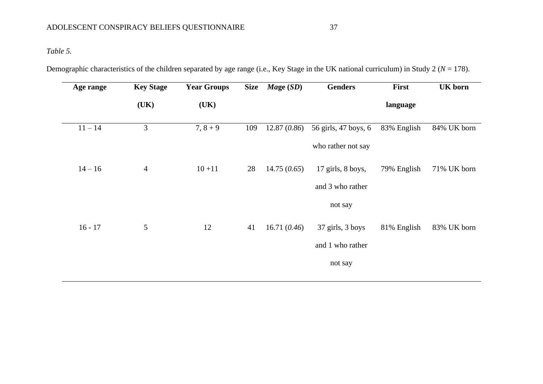*Table 5.*

Demographic characteristics of the children separated by age range (i.e., Key Stage in the UK national curriculum) in Study 2 (*N* = 178).

| Age range | <b>Key Stage</b> | <b>Year Groups</b><br><b>Size</b> |     | $\textit{Mage}$ (SD) | <b>Genders</b>       | First       | <b>UK</b> born |
|-----------|------------------|-----------------------------------|-----|----------------------|----------------------|-------------|----------------|
|           | (UK)             | (UK)                              |     |                      |                      | language    |                |
| $11 - 14$ | 3                | $7, 8 + 9$                        | 109 | 12.87(0.86)          | 56 girls, 47 boys, 6 | 83% English | 84% UK born    |
|           |                  |                                   |     |                      | who rather not say   |             |                |
| $14 - 16$ | $\overline{4}$   | $10 + 11$                         | 28  | 14.75(0.65)          | 17 girls, 8 boys,    | 79% English | 71% UK born    |
|           |                  |                                   |     |                      | and 3 who rather     |             |                |
|           |                  |                                   |     |                      | not say              |             |                |
| $16 - 17$ | 5                | 12                                | 41  | 16.71 $(0.46)$       | 37 girls, 3 boys     | 81% English | 83% UK born    |
|           |                  |                                   |     |                      | and 1 who rather     |             |                |
|           |                  |                                   |     |                      | not say              |             |                |
|           |                  |                                   |     |                      |                      |             |                |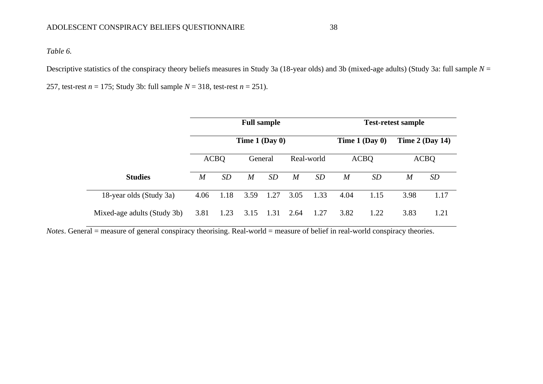*Table 6.*

Descriptive statistics of the conspiracy theory beliefs measures in Study 3a (18-year olds) and 3b (mixed-age adults) (Study 3a: full sample *N* =

257, test-rest *n* = 175; Study 3b: full sample *N* = 318, test-rest *n* = 251).

|                             |                  |                  | <b>Full sample</b> |      |            | <b>Test-retest sample</b> |             |                  |                  |                   |
|-----------------------------|------------------|------------------|--------------------|------|------------|---------------------------|-------------|------------------|------------------|-------------------|
|                             |                  | Time $1$ (Day 0) |                    |      |            |                           |             | Time $1$ (Day 0) |                  | Time $2$ (Day 14) |
|                             | <b>ACBO</b>      |                  | General            |      | Real-world |                           | <b>ACBQ</b> |                  | <b>ACBQ</b>      |                   |
| <b>Studies</b>              | $\boldsymbol{M}$ | SD               | M                  | SD   | M          | SD                        | M           | <b>SD</b>        | $\boldsymbol{M}$ | <b>SD</b>         |
| 18-year olds (Study 3a)     | 4.06             | 1.18             | 3.59               | 1.27 | 3.05       | 1.33                      | 4.04        | 1.15             | 3.98             | 1.17              |
| Mixed-age adults (Study 3b) | 3.81             | 1.23             |                    | 1.31 | 2.64       | 1.27                      | 3.82        | 1.22             | 3.83             | 1.21              |

*Notes*. General = measure of general conspiracy theorising. Real-world = measure of belief in real-world conspiracy theories.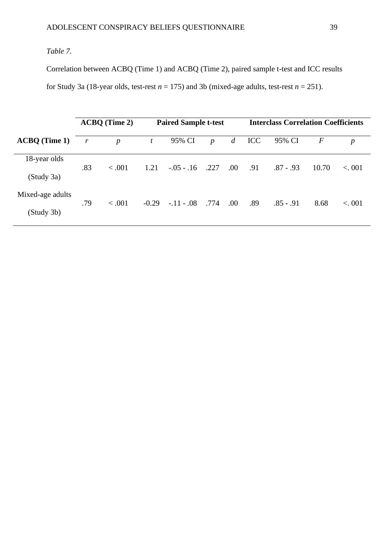# *Table 7.*

Correlation between ACBQ (Time 1) and ACBQ (Time 2), paired sample t-test and ICC results for Study 3a (18-year olds, test-rest  $n = 175$ ) and 3b (mixed-age adults, test-rest  $n = 251$ ).

|                      |                  | $ACBQ$ (Time 2)  | <b>Paired Sample t-test</b> |                |                  |                |            | <b>Interclass Correlation Coefficients</b> |       |                  |
|----------------------|------------------|------------------|-----------------------------|----------------|------------------|----------------|------------|--------------------------------------------|-------|------------------|
| <b>ACBQ</b> (Time 1) | $\boldsymbol{r}$ | $\boldsymbol{p}$ | t                           | 95% CI         | $\boldsymbol{p}$ | $\overline{d}$ | <b>ICC</b> | 95% CI                                     | $\,F$ | $\boldsymbol{p}$ |
| 18-year olds         | .83              | < .001           | 1.21                        | $-0.05 - 0.16$ | .227             | .00.           | .91        | $.87 - .93$                                | 10.70 | < 0.01           |
| (Study 3a)           |                  |                  |                             |                |                  |                |            |                                            |       |                  |
| Mixed-age adults     | .79              | < .001           | $-0.29$                     | $-.11-.08$     | .774             | .00            | .89        | $.85 - .91$                                | 8.68  | < 0.01           |
| (Study 3b)           |                  |                  |                             |                |                  |                |            |                                            |       |                  |